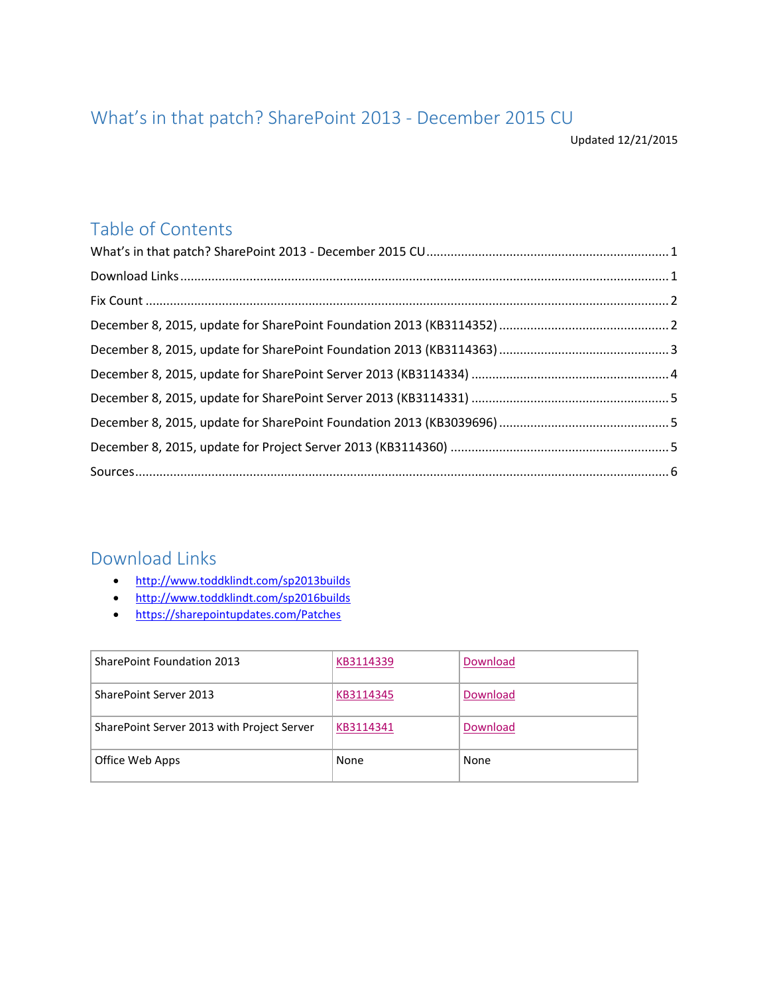# <span id="page-0-0"></span>What's in that patch? SharePoint 2013 - December 2015 CU

Updated 12/21/2015

# Table of Contents

#### <span id="page-0-1"></span>Download Links

- <http://www.toddklindt.com/sp2013builds>
- <http://www.toddklindt.com/sp2016builds>
- <https://sharepointupdates.com/Patches>

| SharePoint Foundation 2013                 | KB3114339 | Download |
|--------------------------------------------|-----------|----------|
| <b>SharePoint Server 2013</b>              | KB3114345 | Download |
| SharePoint Server 2013 with Project Server | KB3114341 | Download |
| Office Web Apps                            | None      | None     |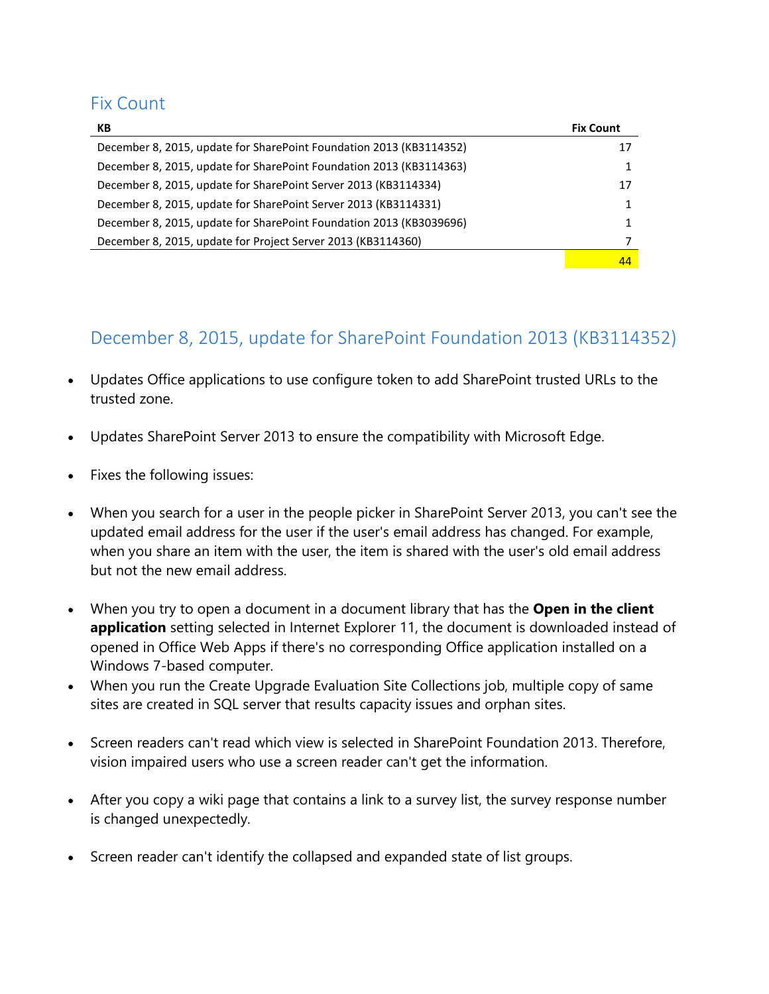#### <span id="page-1-0"></span>Fix Count

| КB                                                                  | <b>Fix Count</b> |
|---------------------------------------------------------------------|------------------|
| December 8, 2015, update for SharePoint Foundation 2013 (KB3114352) | 17               |
| December 8, 2015, update for SharePoint Foundation 2013 (KB3114363) |                  |
| December 8, 2015, update for SharePoint Server 2013 (KB3114334)     | 17               |
| December 8, 2015, update for SharePoint Server 2013 (KB3114331)     |                  |
| December 8, 2015, update for SharePoint Foundation 2013 (KB3039696) |                  |
| December 8, 2015, update for Project Server 2013 (KB3114360)        |                  |
|                                                                     | 44               |

# <span id="page-1-1"></span>December 8, 2015, update for SharePoint Foundation 2013 (KB3114352)

- Updates Office applications to use configure token to add SharePoint trusted URLs to the trusted zone.
- Updates SharePoint Server 2013 to ensure the compatibility with Microsoft Edge.
- Fixes the following issues:
- When you search for a user in the people picker in SharePoint Server 2013, you can't see the updated email address for the user if the user's email address has changed. For example, when you share an item with the user, the item is shared with the user's old email address but not the new email address.
- When you try to open a document in a document library that has the **Open in the client application** setting selected in Internet Explorer 11, the document is downloaded instead of opened in Office Web Apps if there's no corresponding Office application installed on a Windows 7-based computer.
- When you run the Create Upgrade Evaluation Site Collections job, multiple copy of same sites are created in SQL server that results capacity issues and orphan sites.
- Screen readers can't read which view is selected in SharePoint Foundation 2013. Therefore, vision impaired users who use a screen reader can't get the information.
- After you copy a wiki page that contains a link to a survey list, the survey response number is changed unexpectedly.
- Screen reader can't identify the collapsed and expanded state of list groups.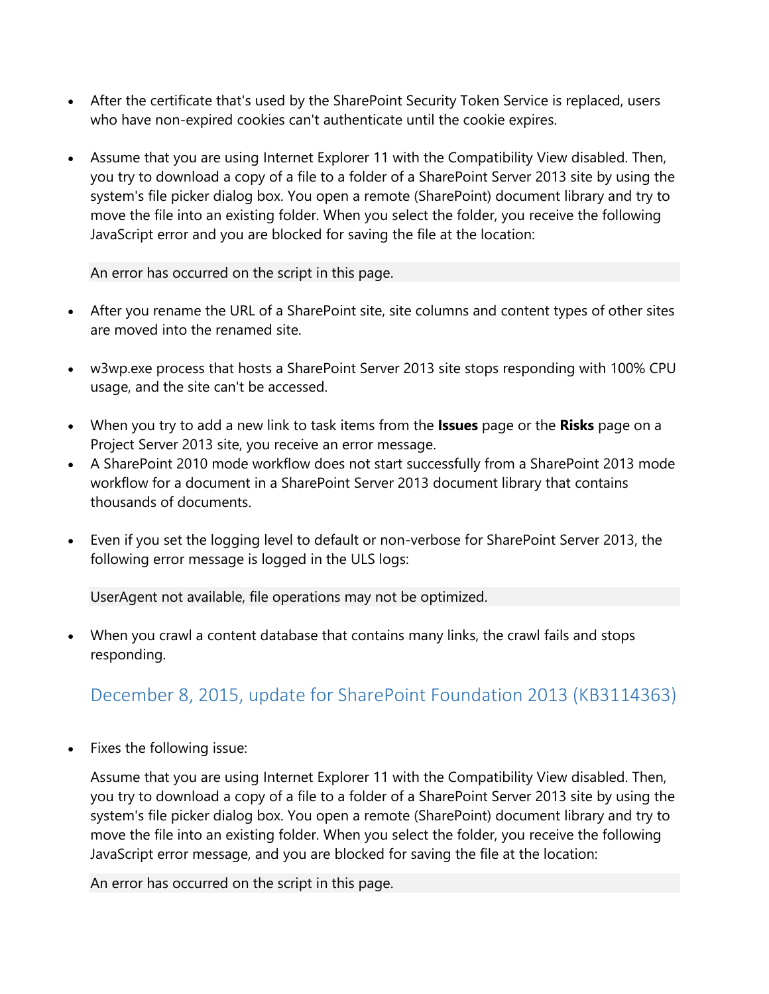- After the certificate that's used by the SharePoint Security Token Service is replaced, users who have non-expired cookies can't authenticate until the cookie expires.
- Assume that you are using Internet Explorer 11 with the Compatibility View disabled. Then, you try to download a copy of a file to a folder of a SharePoint Server 2013 site by using the system's file picker dialog box. You open a remote (SharePoint) document library and try to move the file into an existing folder. When you select the folder, you receive the following JavaScript error and you are blocked for saving the file at the location:

An error has occurred on the script in this page.

- After you rename the URL of a SharePoint site, site columns and content types of other sites are moved into the renamed site.
- w3wp.exe process that hosts a SharePoint Server 2013 site stops responding with 100% CPU usage, and the site can't be accessed.
- When you try to add a new link to task items from the **Issues** page or the **Risks** page on a Project Server 2013 site, you receive an error message.
- A SharePoint 2010 mode workflow does not start successfully from a SharePoint 2013 mode workflow for a document in a SharePoint Server 2013 document library that contains thousands of documents.
- Even if you set the logging level to default or non-verbose for SharePoint Server 2013, the following error message is logged in the ULS logs:

UserAgent not available, file operations may not be optimized.

 When you crawl a content database that contains many links, the crawl fails and stops responding.

# <span id="page-2-0"></span>December 8, 2015, update for SharePoint Foundation 2013 (KB3114363)

Fixes the following issue:

Assume that you are using Internet Explorer 11 with the Compatibility View disabled. Then, you try to download a copy of a file to a folder of a SharePoint Server 2013 site by using the system's file picker dialog box. You open a remote (SharePoint) document library and try to move the file into an existing folder. When you select the folder, you receive the following JavaScript error message, and you are blocked for saving the file at the location:

An error has occurred on the script in this page.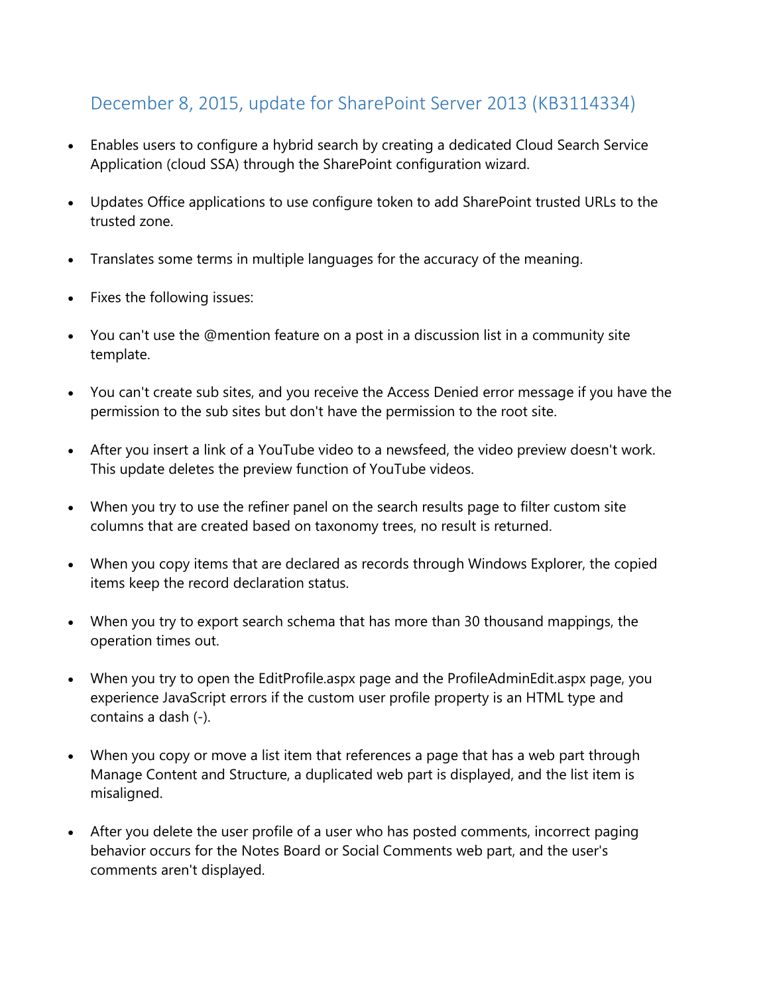# <span id="page-3-0"></span>December 8, 2015, update for SharePoint Server 2013 (KB3114334)

- Enables users to configure a hybrid search by creating a dedicated Cloud Search Service Application (cloud SSA) through the SharePoint configuration wizard.
- Updates Office applications to use configure token to add SharePoint trusted URLs to the trusted zone.
- Translates some terms in multiple languages for the accuracy of the meaning.
- Fixes the following issues:
- You can't use the @mention feature on a post in a discussion list in a community site template.
- You can't create sub sites, and you receive the Access Denied error message if you have the permission to the sub sites but don't have the permission to the root site.
- After you insert a link of a YouTube video to a newsfeed, the video preview doesn't work. This update deletes the preview function of YouTube videos.
- When you try to use the refiner panel on the search results page to filter custom site columns that are created based on taxonomy trees, no result is returned.
- When you copy items that are declared as records through Windows Explorer, the copied items keep the record declaration status.
- When you try to export search schema that has more than 30 thousand mappings, the operation times out.
- When you try to open the EditProfile.aspx page and the ProfileAdminEdit.aspx page, you experience JavaScript errors if the custom user profile property is an HTML type and contains a dash (-).
- When you copy or move a list item that references a page that has a web part through Manage Content and Structure, a duplicated web part is displayed, and the list item is misaligned.
- After you delete the user profile of a user who has posted comments, incorrect paging behavior occurs for the Notes Board or Social Comments web part, and the user's comments aren't displayed.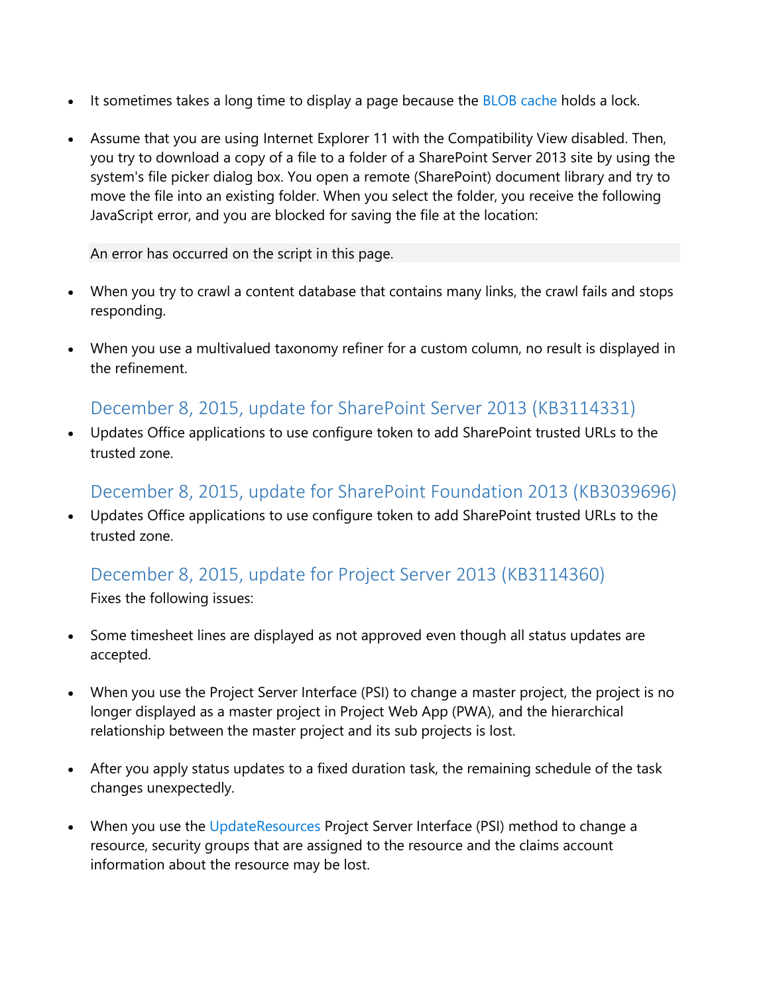- It sometimes takes a long time to display a page because the [BLOB cache](https://technet.microsoft.com/en-us/library/gg277249.aspx) holds a lock.
- Assume that you are using Internet Explorer 11 with the Compatibility View disabled. Then, you try to download a copy of a file to a folder of a SharePoint Server 2013 site by using the system's file picker dialog box. You open a remote (SharePoint) document library and try to move the file into an existing folder. When you select the folder, you receive the following JavaScript error, and you are blocked for saving the file at the location:

An error has occurred on the script in this page.

- When you try to crawl a content database that contains many links, the crawl fails and stops responding.
- When you use a multivalued taxonomy refiner for a custom column, no result is displayed in the refinement.

#### <span id="page-4-0"></span>December 8, 2015, update for SharePoint Server 2013 (KB3114331)

 Updates Office applications to use configure token to add SharePoint trusted URLs to the trusted zone.

#### <span id="page-4-1"></span>December 8, 2015, update for SharePoint Foundation 2013 (KB3039696)

 Updates Office applications to use configure token to add SharePoint trusted URLs to the trusted zone.

# <span id="page-4-2"></span>December 8, 2015, update for Project Server 2013 (KB3114360)

Fixes the following issues:

- Some timesheet lines are displayed as not approved even though all status updates are accepted.
- When you use the Project Server Interface (PSI) to change a master project, the project is no longer displayed as a master project in Project Web App (PWA), and the hierarchical relationship between the master project and its sub projects is lost.
- After you apply status updates to a fixed duration task, the remaining schedule of the task changes unexpectedly.
- When you use the [UpdateResources](https://msdn.microsoft.com/en-us/library/office/gg203009.aspx) Project Server Interface (PSI) method to change a resource, security groups that are assigned to the resource and the claims account information about the resource may be lost.